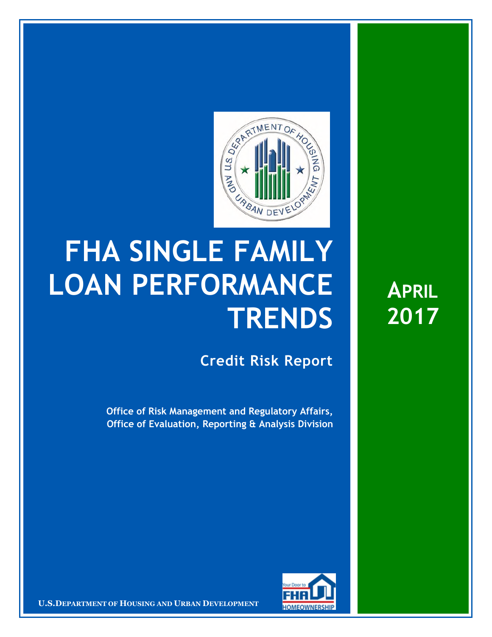

## **FHA SINGLE FAMILY LOAN PERFORMANCE TRENDS**

**Credit Risk Report**

**Office of Risk Management and Regulatory Affairs, Office of Evaluation, Reporting & Analysis Division** 



16 March 20171 **Confidential| For Internal Use Only** 1 **U.S.DEPARTMENT OF HOUSING AND URBAN DEVELOPMENT**

**APRIL 2017**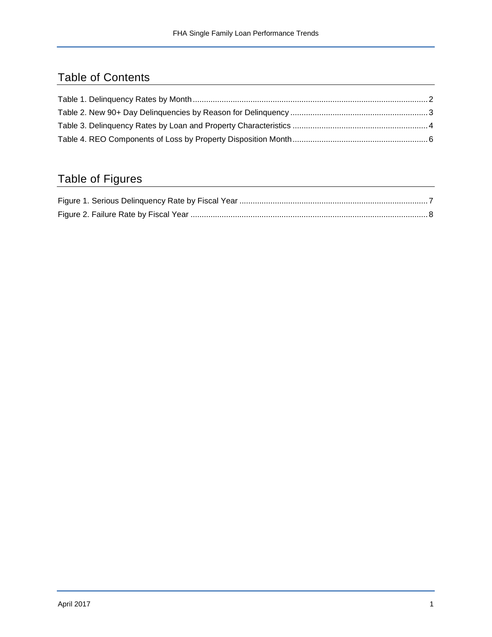## Table of Contents

## Table of Figures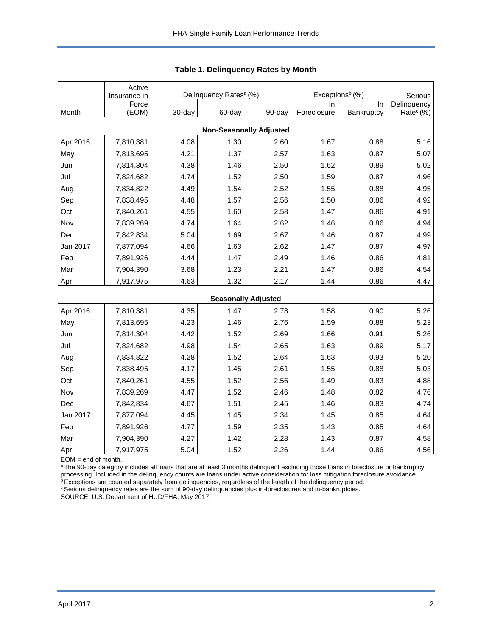<span id="page-2-0"></span>

|          | Active<br>Insurance in | Delinquency Rates <sup>a</sup> (%) |        |                                | Exceptions <sup>b</sup> (%) | Serious    |                       |
|----------|------------------------|------------------------------------|--------|--------------------------------|-----------------------------|------------|-----------------------|
|          | Force                  |                                    |        |                                | In.                         | In         | Delinquency           |
| Month    | (EOM)                  | 30-day                             | 60-day | 90-day                         | Foreclosure                 | Bankruptcy | Rate <sup>c</sup> (%) |
|          |                        |                                    |        | <b>Non-Seasonally Adjusted</b> |                             |            |                       |
| Apr 2016 | 7,810,381              | 4.08                               | 1.30   | 2.60                           | 1.67                        | 0.88       | 5.16                  |
| May      | 7,813,695              | 4.21                               | 1.37   | 2.57                           | 1.63                        | 0.87       | 5.07                  |
| Jun      | 7,814,304              | 4.38                               | 1.46   | 2.50                           | 1.62                        | 0.89       | 5.02                  |
| Jul      | 7,824,682              | 4.74                               | 1.52   | 2.50                           | 1.59                        | 0.87       | 4.96                  |
| Aug      | 7,834,822              | 4.49                               | 1.54   | 2.52                           | 1.55                        | 0.88       | 4.95                  |
| Sep      | 7,838,495              | 4.48                               | 1.57   | 2.56                           | 1.50                        | 0.86       | 4.92                  |
| Oct      | 7,840,261              | 4.55                               | 1.60   | 2.58                           | 1.47                        | 0.86       | 4.91                  |
| Nov      | 7,839,269              | 4.74                               | 1.64   | 2.62                           | 1.46                        | 0.86       | 4.94                  |
| Dec      | 7,842,834              | 5.04                               | 1.69   | 2.67                           | 1.46                        | 0.87       | 4.99                  |
| Jan 2017 | 7,877,094              | 4.66                               | 1.63   | 2.62                           | 1.47                        | 0.87       | 4.97                  |
| Feb      | 7,891,926              | 4.44                               | 1.47   | 2.49                           | 1.46                        | 0.86       | 4.81                  |
| Mar      | 7,904,390              | 3.68                               | 1.23   | 2.21                           | 1.47                        | 0.86       | 4.54                  |
| Apr      | 7,917,975              | 4.63                               | 1.32   | 2.17                           | 1.44                        | 0.86       | 4.47                  |
|          |                        |                                    |        | <b>Seasonally Adjusted</b>     |                             |            |                       |
| Apr 2016 | 7,810,381              | 4.35                               | 1.47   | 2.78                           | 1.58                        | 0.90       | 5.26                  |
| May      | 7,813,695              | 4.23                               | 1.46   | 2.76                           | 1.59                        | 0.88       | 5.23                  |
| Jun      | 7,814,304              | 4.42                               | 1.52   | 2.69                           | 1.66                        | 0.91       | 5.26                  |
| Jul      | 7,824,682              | 4.98                               | 1.54   | 2.65                           | 1.63                        | 0.89       | 5.17                  |
| Aug      | 7,834,822              | 4.28                               | 1.52   | 2.64                           | 1.63                        | 0.93       | 5.20                  |
| Sep      | 7,838,495              | 4.17                               | 1.45   | 2.61                           | 1.55                        | 0.88       | 5.03                  |
| Oct      | 7,840,261              | 4.55                               | 1.52   | 2.56                           | 1.49                        | 0.83       | 4.88                  |
| Nov      | 7,839,269              | 4.47                               | 1.52   | 2.46                           | 1.48                        | 0.82       | 4.76                  |
| Dec      | 7,842,834              | 4.67                               | 1.51   | 2.45                           | 1.46                        | 0.83       | 4.74                  |
| Jan 2017 | 7,877,094              | 4.45                               | 1.45   | 2.34                           | 1.45                        | 0.85       | 4.64                  |
| Feb      | 7,891,926              | 4.77                               | 1.59   | 2.35                           | 1.43                        | 0.85       | 4.64                  |
| Mar      | 7,904,390              | 4.27                               | 1.42   | 2.28                           | 1.43                        | 0.87       | 4.58                  |
| Apr      | 7,917,975              | 5.04                               | 1.52   | 2.26                           | 1.44                        | 0.86       | 4.56                  |

<span id="page-2-1"></span>**Table 1. Delinquency Rates by Month** 

EOM = end of month.

<sup>a</sup>The 90-day category includes all loans that are at least 3 months delinquent excluding those loans in foreclosure or bankruptcy processing. Included in the delinquency counts are loans under active consideration for loss mitigation foreclosure avoidance.

<sup>b</sup> Exceptions are counted separately from delinquencies, regardless of the length of the delinquency period.

<sup>c</sup> Serious delinquency rates are the sum of 90-day delinquencies plus in-foreclosures and in-bankruptcies.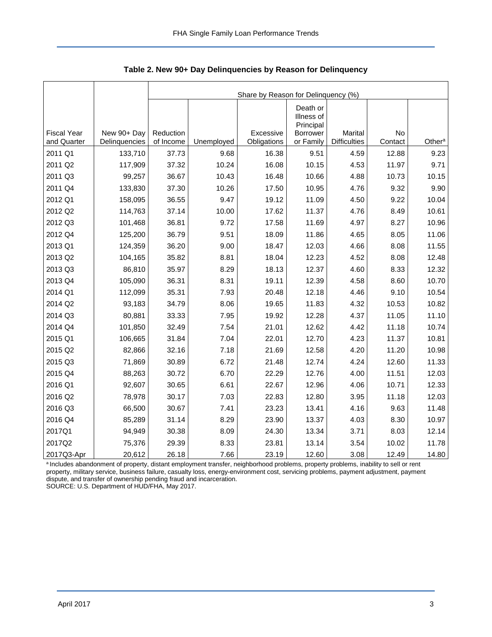<span id="page-3-0"></span>

|                    |               | Share by Reason for Delinquency (%) |            |             |                                                        |                     |         |                    |  |  |  |
|--------------------|---------------|-------------------------------------|------------|-------------|--------------------------------------------------------|---------------------|---------|--------------------|--|--|--|
| <b>Fiscal Year</b> | New 90+ Day   | Reduction                           |            | Excessive   | Death or<br>Illness of<br>Principal<br><b>Borrower</b> | Marital             | No      |                    |  |  |  |
| and Quarter        | Delinquencies | of Income                           | Unemployed | Obligations | or Family                                              | <b>Difficulties</b> | Contact | Other <sup>a</sup> |  |  |  |
| 2011 Q1            | 133,710       | 37.73                               | 9.68       | 16.38       | 9.51                                                   | 4.59                | 12.88   | 9.23               |  |  |  |
| 2011 Q2            | 117,909       | 37.32                               | 10.24      | 16.08       | 10.15                                                  | 4.53                | 11.97   | 9.71               |  |  |  |
| 2011 Q3            | 99,257        | 36.67                               | 10.43      | 16.48       | 10.66                                                  | 4.88                | 10.73   | 10.15              |  |  |  |
| 2011 Q4            | 133,830       | 37.30                               | 10.26      | 17.50       | 10.95                                                  | 4.76                | 9.32    | 9.90               |  |  |  |
| 2012 Q1            | 158,095       | 36.55                               | 9.47       | 19.12       | 11.09                                                  | 4.50                | 9.22    | 10.04              |  |  |  |
| 2012 Q2            | 114,763       | 37.14                               | 10.00      | 17.62       | 11.37                                                  | 4.76                | 8.49    | 10.61              |  |  |  |
| 2012 Q3            | 101,468       | 36.81                               | 9.72       | 17.58       | 11.69                                                  | 4.97                | 8.27    | 10.96              |  |  |  |
| 2012 Q4            | 125,200       | 36.79                               | 9.51       | 18.09       | 11.86                                                  | 4.65                | 8.05    | 11.06              |  |  |  |
| 2013 Q1            | 124,359       | 36.20                               | 9.00       | 18.47       | 12.03                                                  | 4.66                | 8.08    | 11.55              |  |  |  |
| 2013 Q2            | 104,165       | 35.82                               | 8.81       | 18.04       | 12.23                                                  | 4.52                | 8.08    | 12.48              |  |  |  |
| 2013 Q3            | 86,810        | 35.97                               | 8.29       | 18.13       | 12.37                                                  | 4.60                | 8.33    | 12.32              |  |  |  |
| 2013 Q4            | 105,090       | 36.31                               | 8.31       | 19.11       | 12.39                                                  | 4.58                | 8.60    | 10.70              |  |  |  |
| 2014 Q1            | 112,099       | 35.31                               | 7.93       | 20.48       | 12.18                                                  | 4.46                | 9.10    | 10.54              |  |  |  |
| 2014 Q2            | 93,183        | 34.79                               | 8.06       | 19.65       | 11.83                                                  | 4.32                | 10.53   | 10.82              |  |  |  |
| 2014 Q3            | 80,881        | 33.33                               | 7.95       | 19.92       | 12.28                                                  | 4.37                | 11.05   | 11.10              |  |  |  |
| 2014 Q4            | 101,850       | 32.49                               | 7.54       | 21.01       | 12.62                                                  | 4.42                | 11.18   | 10.74              |  |  |  |
| 2015 Q1            | 106,665       | 31.84                               | 7.04       | 22.01       | 12.70                                                  | 4.23                | 11.37   | 10.81              |  |  |  |
| 2015 Q2            | 82,866        | 32.16                               | 7.18       | 21.69       | 12.58                                                  | 4.20                | 11.20   | 10.98              |  |  |  |
| 2015 Q3            | 71,869        | 30.89                               | 6.72       | 21.48       | 12.74                                                  | 4.24                | 12.60   | 11.33              |  |  |  |
| 2015 Q4            | 88,263        | 30.72                               | 6.70       | 22.29       | 12.76                                                  | 4.00                | 11.51   | 12.03              |  |  |  |
| 2016 Q1            | 92,607        | 30.65                               | 6.61       | 22.67       | 12.96                                                  | 4.06                | 10.71   | 12.33              |  |  |  |
| 2016 Q2            | 78,978        | 30.17                               | 7.03       | 22.83       | 12.80                                                  | 3.95                | 11.18   | 12.03              |  |  |  |
| 2016 Q3            | 66,500        | 30.67                               | 7.41       | 23.23       | 13.41                                                  | 4.16                | 9.63    | 11.48              |  |  |  |
| 2016 Q4            | 85,289        | 31.14                               | 8.29       | 23.90       | 13.37                                                  | 4.03                | 8.30    | 10.97              |  |  |  |
| 2017Q1             | 94,949        | 30.38                               | 8.09       | 24.30       | 13.34                                                  | 3.71                | 8.03    | 12.14              |  |  |  |
| 2017Q2             | 75,376        | 29.39                               | 8.33       | 23.81       | 13.14                                                  | 3.54                | 10.02   | 11.78              |  |  |  |
| 2017Q3-Apr         | 20,612        | 26.18                               | 7.66       | 23.19       | 12.60                                                  | 3.08                | 12.49   | 14.80              |  |  |  |

<span id="page-3-1"></span>**Table 2. New 90+ Day Delinquencies by Reason for Delinquency** 

a Includes abandonment of property, distant employment transfer, neighborhood problems, property problems, inability to sell or rent property, military service, business failure, casualty loss, energy-environment cost, servicing problems, payment adjustment, payment dispute, and transfer of ownership pending fraud and incarceration. SOURCE: U.S. Department of HUD/FHA, May 2017.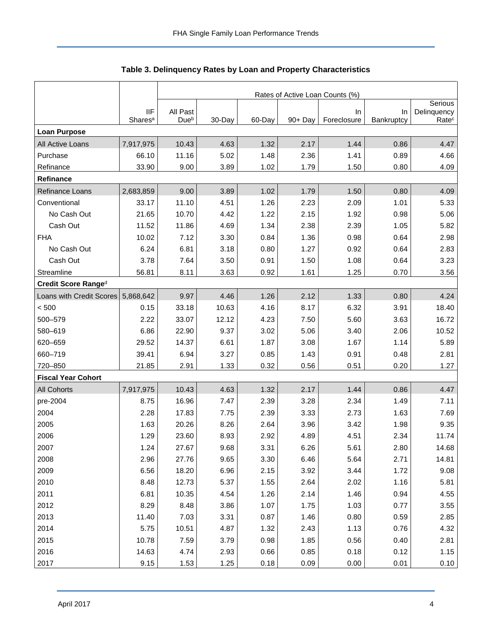<span id="page-4-0"></span>

|                           |                     | Rates of Active Loan Counts (%) |        |        |            |                   |                  |                                  |  |  |  |
|---------------------------|---------------------|---------------------------------|--------|--------|------------|-------------------|------------------|----------------------------------|--|--|--|
|                           | <b>IIF</b>          |                                 |        |        |            |                   |                  | Serious                          |  |  |  |
|                           | Shares <sup>a</sup> | All Past<br>Due <sup>b</sup>    | 30-Day | 60-Day | $90 + Day$ | In<br>Foreclosure | In<br>Bankruptcy | Delinquency<br>Rate <sup>c</sup> |  |  |  |
| <b>Loan Purpose</b>       |                     |                                 |        |        |            |                   |                  |                                  |  |  |  |
| All Active Loans          | 7,917,975           | 10.43                           | 4.63   | 1.32   | 2.17       | 1.44              | 0.86             | 4.47                             |  |  |  |
| Purchase                  | 66.10               | 11.16                           | 5.02   | 1.48   | 2.36       | 1.41              | 0.89             | 4.66                             |  |  |  |
| Refinance                 | 33.90               | 9.00                            | 3.89   | 1.02   | 1.79       | 1.50              | 0.80             | 4.09                             |  |  |  |
| Refinance                 |                     |                                 |        |        |            |                   |                  |                                  |  |  |  |
| Refinance Loans           | 2,683,859           | 9.00                            | 3.89   | 1.02   | 1.79       | 1.50              | 0.80             | 4.09                             |  |  |  |
| Conventional              | 33.17               | 11.10                           | 4.51   | 1.26   | 2.23       | 2.09              | 1.01             | 5.33                             |  |  |  |
| No Cash Out               | 21.65               | 10.70                           | 4.42   | 1.22   | 2.15       | 1.92              | 0.98             | 5.06                             |  |  |  |
| Cash Out                  | 11.52               | 11.86                           | 4.69   | 1.34   | 2.38       | 2.39              | 1.05             | 5.82                             |  |  |  |
| <b>FHA</b>                | 10.02               | 7.12                            | 3.30   | 0.84   | 1.36       | 0.98              | 0.64             | 2.98                             |  |  |  |
| No Cash Out               | 6.24                | 6.81                            | 3.18   | 0.80   | 1.27       | 0.92              | 0.64             | 2.83                             |  |  |  |
| Cash Out                  | 3.78                | 7.64                            | 3.50   | 0.91   | 1.50       | 1.08              | 0.64             | 3.23                             |  |  |  |
| Streamline                | 56.81               | 8.11                            | 3.63   | 0.92   | 1.61       | 1.25              | 0.70             | 3.56                             |  |  |  |
| Credit Score Ranged       |                     |                                 |        |        |            |                   |                  |                                  |  |  |  |
| Loans with Credit Scores  | 5,868,642           | 9.97                            | 4.46   | 1.26   | 2.12       | 1.33              | 0.80             | 4.24                             |  |  |  |
| < 500                     | 0.15                | 33.18                           | 10.63  | 4.16   | 8.17       | 6.32              | 3.91             | 18.40                            |  |  |  |
| 500-579                   | 2.22                | 33.07                           | 12.12  | 4.23   | 7.50       | 5.60              | 3.63             | 16.72                            |  |  |  |
| 580-619                   | 6.86                | 22.90                           | 9.37   | 3.02   | 5.06       | 3.40              | 2.06             | 10.52                            |  |  |  |
| 620-659                   | 29.52               | 14.37                           | 6.61   | 1.87   | 3.08       | 1.67              | 1.14             | 5.89                             |  |  |  |
| 660-719                   | 39.41               | 6.94                            | 3.27   | 0.85   | 1.43       | 0.91              | 0.48             | 2.81                             |  |  |  |
| 720-850                   | 21.85               | 2.91                            | 1.33   | 0.32   | 0.56       | 0.51              | 0.20             | 1.27                             |  |  |  |
| <b>Fiscal Year Cohort</b> |                     |                                 |        |        |            |                   |                  |                                  |  |  |  |
| <b>All Cohorts</b>        | 7,917,975           | 10.43                           | 4.63   | 1.32   | 2.17       | 1.44              | 0.86             | 4.47                             |  |  |  |
| pre-2004                  | 8.75                | 16.96                           | 7.47   | 2.39   | 3.28       | 2.34              | 1.49             | 7.11                             |  |  |  |
| 2004                      | 2.28                | 17.83                           | 7.75   | 2.39   | 3.33       | 2.73              | 1.63             | 7.69                             |  |  |  |
| 2005                      | 1.63                | 20.26                           | 8.26   | 2.64   | 3.96       | 3.42              | 1.98             | 9.35                             |  |  |  |
| 2006                      | 1.29                | 23.60                           | 8.93   | 2.92   | 4.89       | 4.51              | 2.34             | 11.74                            |  |  |  |
| 2007                      | 1.24                | 27.67                           | 9.68   | 3.31   | 6.26       | 5.61              | 2.80             | 14.68                            |  |  |  |
| 2008                      | 2.96                | 27.76                           | 9.65   | 3.30   | 6.46       | 5.64              | 2.71             | 14.81                            |  |  |  |
| 2009                      | 6.56                | 18.20                           | 6.96   | 2.15   | 3.92       | 3.44              | 1.72             | 9.08                             |  |  |  |
| 2010                      | 8.48                | 12.73                           | 5.37   | 1.55   | 2.64       | 2.02              | 1.16             | 5.81                             |  |  |  |
| 2011                      | 6.81                | 10.35                           | 4.54   | 1.26   | 2.14       | 1.46              | 0.94             | 4.55                             |  |  |  |
| 2012                      | 8.29                | 8.48                            | 3.86   | 1.07   | 1.75       | 1.03              | 0.77             | 3.55                             |  |  |  |
| 2013                      | 11.40               | 7.03                            | 3.31   | 0.87   | 1.46       | 0.80              | 0.59             | 2.85                             |  |  |  |
| 2014                      | 5.75                | 10.51                           | 4.87   | 1.32   | 2.43       | 1.13              | 0.76             | 4.32                             |  |  |  |
| 2015                      | 10.78               | 7.59                            | 3.79   | 0.98   | 1.85       | 0.56              | 0.40             | 2.81                             |  |  |  |
| 2016                      | 14.63               | 4.74                            | 2.93   | 0.66   | 0.85       | 0.18              | 0.12             | 1.15                             |  |  |  |
| 2017                      | 9.15                | 1.53                            | 1.25   | 0.18   | 0.09       | 0.00              | 0.01             | 0.10                             |  |  |  |

<span id="page-4-1"></span>

| Table 3. Delinquency Rates by Loan and Property Characteristics |  |  |  |
|-----------------------------------------------------------------|--|--|--|
|-----------------------------------------------------------------|--|--|--|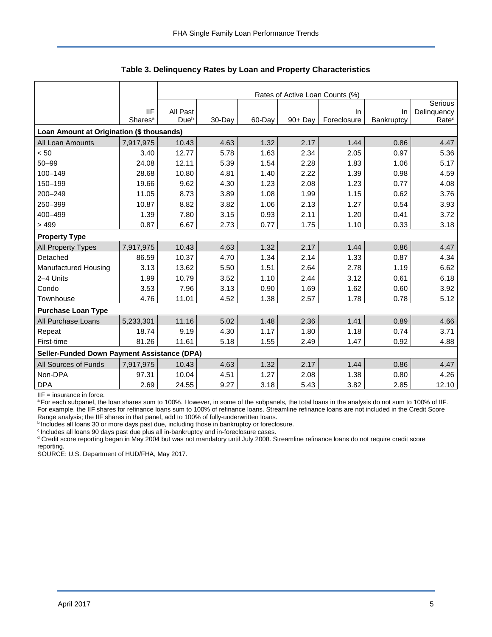|                                                    |                     | Rates of Active Loan Counts (%) |        |        |            |             |            |                   |  |  |  |
|----------------------------------------------------|---------------------|---------------------------------|--------|--------|------------|-------------|------------|-------------------|--|--|--|
|                                                    |                     |                                 |        |        |            |             |            | Serious           |  |  |  |
|                                                    | <b>IIF</b>          | All Past                        |        |        |            | In.         | In.        | Delinquency       |  |  |  |
|                                                    | Shares <sup>a</sup> | Due <sup>b</sup>                | 30-Day | 60-Day | $90 + Day$ | Foreclosure | Bankruptcy | Rate <sup>c</sup> |  |  |  |
| Loan Amount at Origination (\$ thousands)          |                     |                                 |        |        |            |             |            |                   |  |  |  |
| All Loan Amounts                                   | 7,917,975           | 10.43                           | 4.63   | 1.32   | 2.17       | 1.44        | 0.86       | 4.47              |  |  |  |
| < 50                                               | 3.40                | 12.77                           | 5.78   | 1.63   | 2.34       | 2.05        | 0.97       | 5.36              |  |  |  |
| $50 - 99$                                          | 24.08               | 12.11                           | 5.39   | 1.54   | 2.28       | 1.83        | 1.06       | 5.17              |  |  |  |
| 100-149                                            | 28.68               | 10.80                           | 4.81   | 1.40   | 2.22       | 1.39        | 0.98       | 4.59              |  |  |  |
| 150-199                                            | 19.66               | 9.62                            | 4.30   | 1.23   | 2.08       | 1.23        | 0.77       | 4.08              |  |  |  |
| 200-249                                            | 11.05               | 8.73                            | 3.89   | 1.08   | 1.99       | 1.15        | 0.62       | 3.76              |  |  |  |
| 250-399                                            | 10.87               | 8.82                            | 3.82   | 1.06   | 2.13       | 1.27        | 0.54       | 3.93              |  |  |  |
| 400-499                                            | 1.39                | 7.80                            | 3.15   | 0.93   | 2.11       | 1.20        | 0.41       | 3.72              |  |  |  |
| >499                                               | 0.87                | 6.67                            | 2.73   | 0.77   | 1.75       | 1.10        | 0.33       | 3.18              |  |  |  |
| <b>Property Type</b>                               |                     |                                 |        |        |            |             |            |                   |  |  |  |
| All Property Types                                 | 7,917,975           | 10.43                           | 4.63   | 1.32   | 2.17       | 1.44        | 0.86       | 4.47              |  |  |  |
| Detached                                           | 86.59               | 10.37                           | 4.70   | 1.34   | 2.14       | 1.33        | 0.87       | 4.34              |  |  |  |
| Manufactured Housing                               | 3.13                | 13.62                           | 5.50   | 1.51   | 2.64       | 2.78        | 1.19       | 6.62              |  |  |  |
| 2-4 Units                                          | 1.99                | 10.79                           | 3.52   | 1.10   | 2.44       | 3.12        | 0.61       | 6.18              |  |  |  |
| Condo                                              | 3.53                | 7.96                            | 3.13   | 0.90   | 1.69       | 1.62        | 0.60       | 3.92              |  |  |  |
| Townhouse                                          | 4.76                | 11.01                           | 4.52   | 1.38   | 2.57       | 1.78        | 0.78       | 5.12              |  |  |  |
| <b>Purchase Loan Type</b>                          |                     |                                 |        |        |            |             |            |                   |  |  |  |
| All Purchase Loans                                 | 5,233,301           | 11.16                           | 5.02   | 1.48   | 2.36       | 1.41        | 0.89       | 4.66              |  |  |  |
| Repeat                                             | 18.74               | 9.19                            | 4.30   | 1.17   | 1.80       | 1.18        | 0.74       | 3.71              |  |  |  |
| First-time                                         | 81.26               | 11.61                           | 5.18   | 1.55   | 2.49       | 1.47        | 0.92       | 4.88              |  |  |  |
| <b>Seller-Funded Down Payment Assistance (DPA)</b> |                     |                                 |        |        |            |             |            |                   |  |  |  |
| All Sources of Funds                               | 7,917,975           | 10.43                           | 4.63   | 1.32   | 2.17       | 1.44        | 0.86       | 4.47              |  |  |  |
| Non-DPA                                            | 97.31               | 10.04                           | 4.51   | 1.27   | 2.08       | 1.38        | 0.80       | 4.26              |  |  |  |
| <b>DPA</b>                                         | 2.69                | 24.55                           | 9.27   | 3.18   | 5.43       | 3.82        | 2.85       | 12.10             |  |  |  |

**Table 3. Delinquency Rates by Loan and Property Characteristics** 

IIF = insurance in force.

a For each subpanel, the loan shares sum to 100%. However, in some of the subpanels, the total loans in the analysis do not sum to 100% of IIF. For example, the IIF shares for refinance loans sum to 100% of refinance loans. Streamline refinance loans are not included in the Credit Score Range analysis; the IIF shares in that panel, add to 100% of fully-underwritten loans.

bincludes all loans 30 or more days past due, including those in bankruptcy or foreclosure.

<sup>c</sup> Includes all loans 90 days past due plus all in-bankruptcy and in-foreclosure cases.

<sup>d</sup> Credit score reporting began in May 2004 but was not mandatory until July 2008. Streamline refinance loans do not require credit score reporting.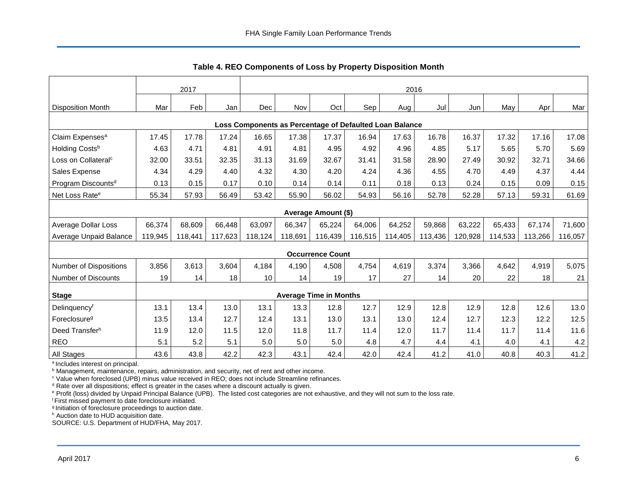<span id="page-6-0"></span>

|                                                         | 2017    |         |         |         | 2016    |                               |         |         |         |         |         |         |         |
|---------------------------------------------------------|---------|---------|---------|---------|---------|-------------------------------|---------|---------|---------|---------|---------|---------|---------|
| <b>Disposition Month</b>                                | Mar     | Feb     | Jan     | Dec     | Nov     | Oct                           | Sep     | Aug     | Jul     | Jun     | May     | Apr     | Mar     |
| Loss Components as Percentage of Defaulted Loan Balance |         |         |         |         |         |                               |         |         |         |         |         |         |         |
| Claim Expenses <sup>a</sup>                             | 17.45   | 17.78   | 17.24   | 16.65   | 17.38   | 17.37                         | 16.94   | 17.63   | 16.78   | 16.37   | 17.32   | 17.16   | 17.08   |
| Holding Costsb                                          | 4.63    | 4.71    | 4.81    | 4.91    | 4.81    | 4.95                          | 4.92    | 4.96    | 4.85    | 5.17    | 5.65    | 5.70    | 5.69    |
| Loss on Collateral <sup>c</sup>                         | 32.00   | 33.51   | 32.35   | 31.13   | 31.69   | 32.67                         | 31.41   | 31.58   | 28.90   | 27.49   | 30.92   | 32.71   | 34.66   |
| Sales Expense                                           | 4.34    | 4.29    | 4.40    | 4.32    | 4.30    | 4.20                          | 4.24    | 4.36    | 4.55    | 4.70    | 4.49    | 4.37    | 4.44    |
| Program Discounts <sup>d</sup>                          | 0.13    | 0.15    | 0.17    | 0.10    | 0.14    | 0.14                          | 0.11    | 0.18    | 0.13    | 0.24    | 0.15    | 0.09    | 0.15    |
| Net Loss Rate <sup>e</sup>                              | 55.34   | 57.93   | 56.49   | 53.42   | 55.90   | 56.02                         | 54.93   | 56.16   | 52.78   | 52.28   | 57.13   | 59.31   | 61.69   |
|                                                         |         |         |         |         |         | Average Amount (\$)           |         |         |         |         |         |         |         |
| Average Dollar Loss                                     | 66,374  | 68,609  | 66,448  | 63,097  | 66,347  | 65,224                        | 64,006  | 64,252  | 59,868  | 63,222  | 65,433  | 67,174  | 71,600  |
| Average Unpaid Balance                                  | 119,945 | 118,441 | 117,623 | 118,124 | 118,691 | 116,439                       | 116,515 | 114,405 | 113,436 | 120,928 | 114,533 | 113,266 | 116,057 |
|                                                         |         |         |         |         |         | <b>Occurrence Count</b>       |         |         |         |         |         |         |         |
| Number of Dispositions                                  | 3,856   | 3,613   | 3,604   | 4.184   | 4,190   | 4,508                         | 4,754   | 4,619   | 3,374   | 3,366   | 4,642   | 4,919   | 5,075   |
| <b>Number of Discounts</b>                              | 19      | 14      | 18      | 10      | 14      | 19                            | 17      | 27      | 14      | 20      | 22      | 18      | 21      |
| <b>Stage</b>                                            |         |         |         |         |         | <b>Average Time in Months</b> |         |         |         |         |         |         |         |
| Delinquencyf                                            | 13.1    | 13.4    | 13.0    | 13.1    | 13.3    | 12.8                          | 12.7    | 12.9    | 12.8    | 12.9    | 12.8    | 12.6    | 13.0    |
| Foreclosure <sup>g</sup>                                | 13.5    | 13.4    | 12.7    | 12.4    | 13.1    | 13.0                          | 13.1    | 13.0    | 12.4    | 12.7    | 12.3    | 12.2    | 12.5    |
| Deed Transferh                                          | 11.9    | 12.0    | 11.5    | 12.0    | 11.8    | 11.7                          | 11.4    | 12.0    | 11.7    | 11.4    | 11.7    | 11.4    | 11.6    |
| <b>REO</b>                                              | 5.1     | 5.2     | 5.1     | 5.0     | 5.0     | $5.0$                         | 4.8     | 4.7     | 4.4     | 4.1     | 4.0     | 4.1     | 4.2     |
| <b>All Stages</b>                                       | 43.6    | 43.8    | 42.2    | 42.3    | 43.1    | 42.4                          | 42.0    | 42.4    | 41.2    | 41.0    | 40.8    | 40.3    | 41.2    |

**Table 4. REO Components of Loss by Property Disposition Month** 

<sup>a</sup> Includes interest on principal.

<sup>b</sup> Management, maintenance, repairs, administration, and security, net of rent and other income.

<sup>c</sup> Value when foreclosed (UPB) minus value received in REO; does not include Streamline refinances.

<sup>d</sup> Rate over all dispositions; effect is greater in the cases where a discount actually is given.

e Profit (loss) divided by Unpaid Principal Balance (UPB). The listed cost categories are not exhaustive, and they will not sum to the loss rate.

f First missed payment to date foreclosure initiated.

g Initiation of foreclosure proceedings to auction date.

h Auction date to HUD acquisition date.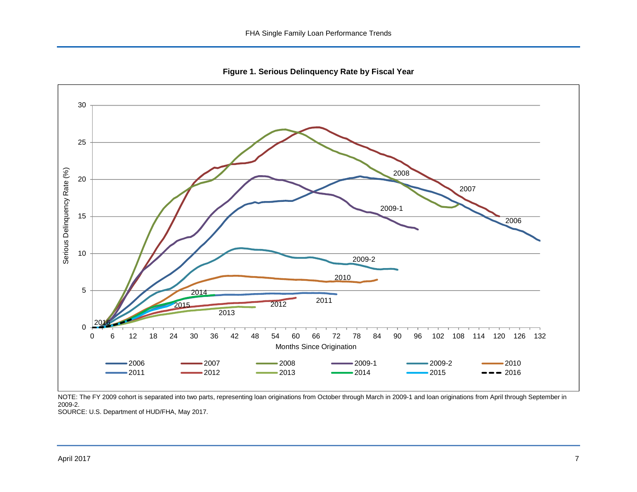<span id="page-7-0"></span>

<span id="page-7-1"></span>**Figure 1. Serious Delinquency Rate by Fiscal Year** 

NOTE: The FY 2009 cohort is separated into two parts, representing loan originations from October through March in 2009-1 and loan originations from April through September in 2009-2.